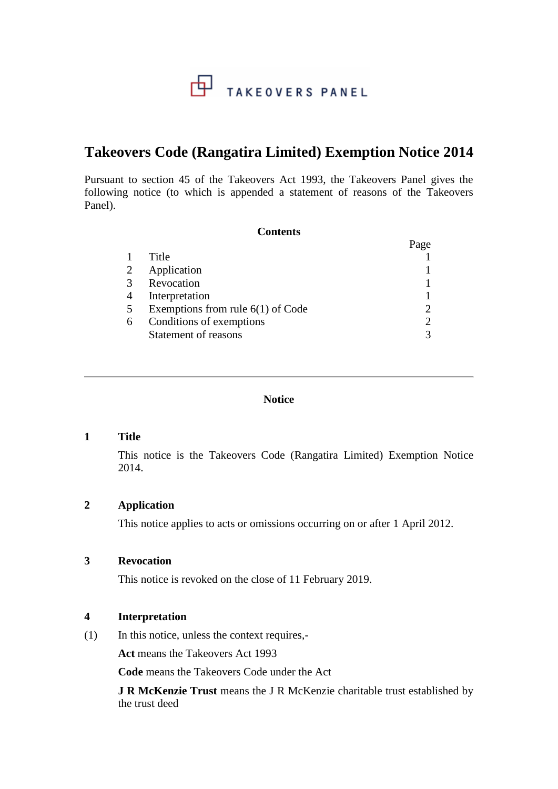# TAKEOVERS PANEL

# **Takeovers Code (Rangatira Limited) Exemption Notice 2014**

Pursuant to section 45 of the Takeovers Act 1993, the Takeovers Panel gives the following notice (to which is appended a statement of reasons of the Takeovers Panel).

#### **Contents**

|   |                                     | Page |
|---|-------------------------------------|------|
|   | Title                               |      |
|   | Application                         |      |
|   | Revocation                          |      |
|   | Interpretation                      |      |
|   | Exemptions from rule $6(1)$ of Code |      |
| 6 | Conditions of exemptions            | ി    |
|   | Statement of reasons                |      |

### **Notice**

### **1 Title**

This notice is the Takeovers Code (Rangatira Limited) Exemption Notice 2014.

### **2 Application**

This notice applies to acts or omissions occurring on or after 1 April 2012.

### **3 Revocation**

This notice is revoked on the close of 11 February 2019.

## **4 Interpretation**

(1) In this notice, unless the context requires,-

**Act** means the Takeovers Act 1993

**Code** means the Takeovers Code under the Act

**J R McKenzie Trust** means the J R McKenzie charitable trust established by the trust deed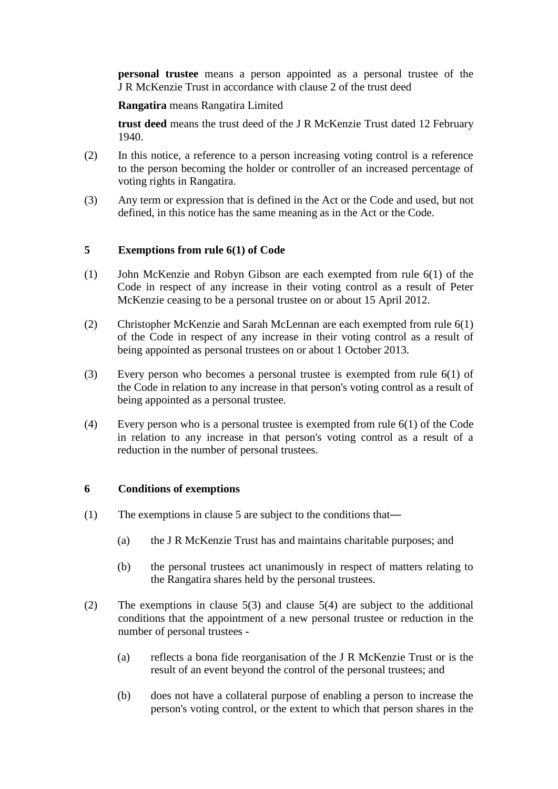**personal trustee** means a person appointed as a personal trustee of the J R McKenzie Trust in accordance with clause 2 of the trust deed

**Rangatira** means Rangatira Limited

**trust deed** means the trust deed of the J R McKenzie Trust dated 12 February 1940.

- (2) In this notice, a reference to a person increasing voting control is a reference to the person becoming the holder or controller of an increased percentage of voting rights in Rangatira.
- (3) Any term or expression that is defined in the Act or the Code and used, but not defined, in this notice has the same meaning as in the Act or the Code.

### **5 Exemptions from rule 6(1) of Code**

- (1) John McKenzie and Robyn Gibson are each exempted from rule 6(1) of the Code in respect of any increase in their voting control as a result of Peter McKenzie ceasing to be a personal trustee on or about 15 April 2012.
- (2) Christopher McKenzie and Sarah McLennan are each exempted from rule 6(1) of the Code in respect of any increase in their voting control as a result of being appointed as personal trustees on or about 1 October 2013.
- (3) Every person who becomes a personal trustee is exempted from rule 6(1) of the Code in relation to any increase in that person's voting control as a result of being appointed as a personal trustee.
- (4) Every person who is a personal trustee is exempted from rule 6(1) of the Code in relation to any increase in that person's voting control as a result of a reduction in the number of personal trustees.

#### **6 Conditions of exemptions**

- (1) The exemptions in clause 5 are subject to the conditions that—
	- (a) the J R McKenzie Trust has and maintains charitable purposes; and
	- (b) the personal trustees act unanimously in respect of matters relating to the Rangatira shares held by the personal trustees.
- (2) The exemptions in clause 5(3) and clause 5(4) are subject to the additional conditions that the appointment of a new personal trustee or reduction in the number of personal trustees -
	- (a) reflects a bona fide reorganisation of the J R McKenzie Trust or is the result of an event beyond the control of the personal trustees; and
	- (b) does not have a collateral purpose of enabling a person to increase the person's voting control, or the extent to which that person shares in the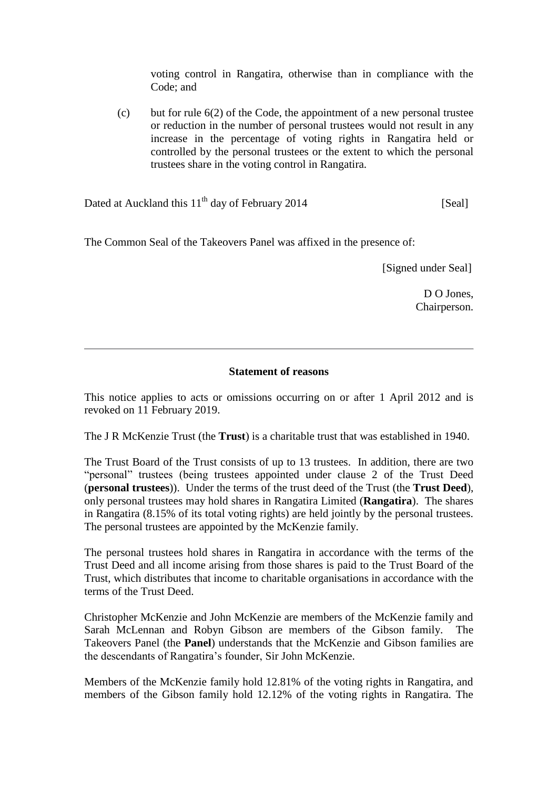voting control in Rangatira, otherwise than in compliance with the Code; and

(c) but for rule 6(2) of the Code, the appointment of a new personal trustee or reduction in the number of personal trustees would not result in any increase in the percentage of voting rights in Rangatira held or controlled by the personal trustees or the extent to which the personal trustees share in the voting control in Rangatira.

Dated at Auckland this 11<sup>th</sup> day of February 2014 [Seal]

The Common Seal of the Takeovers Panel was affixed in the presence of:

[Signed under Seal]

D O Jones, Chairperson.

### **Statement of reasons**

This notice applies to acts or omissions occurring on or after 1 April 2012 and is revoked on 11 February 2019.

The J R McKenzie Trust (the **Trust**) is a charitable trust that was established in 1940.

The Trust Board of the Trust consists of up to 13 trustees. In addition, there are two "personal" trustees (being trustees appointed under clause 2 of the Trust Deed (**personal trustees**)). Under the terms of the trust deed of the Trust (the **Trust Deed**), only personal trustees may hold shares in Rangatira Limited (**Rangatira**). The shares in Rangatira (8.15% of its total voting rights) are held jointly by the personal trustees. The personal trustees are appointed by the McKenzie family.

The personal trustees hold shares in Rangatira in accordance with the terms of the Trust Deed and all income arising from those shares is paid to the Trust Board of the Trust, which distributes that income to charitable organisations in accordance with the terms of the Trust Deed.

Christopher McKenzie and John McKenzie are members of the McKenzie family and Sarah McLennan and Robyn Gibson are members of the Gibson family. The Takeovers Panel (the **Panel**) understands that the McKenzie and Gibson families are the descendants of Rangatira's founder, Sir John McKenzie.

Members of the McKenzie family hold 12.81% of the voting rights in Rangatira, and members of the Gibson family hold 12.12% of the voting rights in Rangatira. The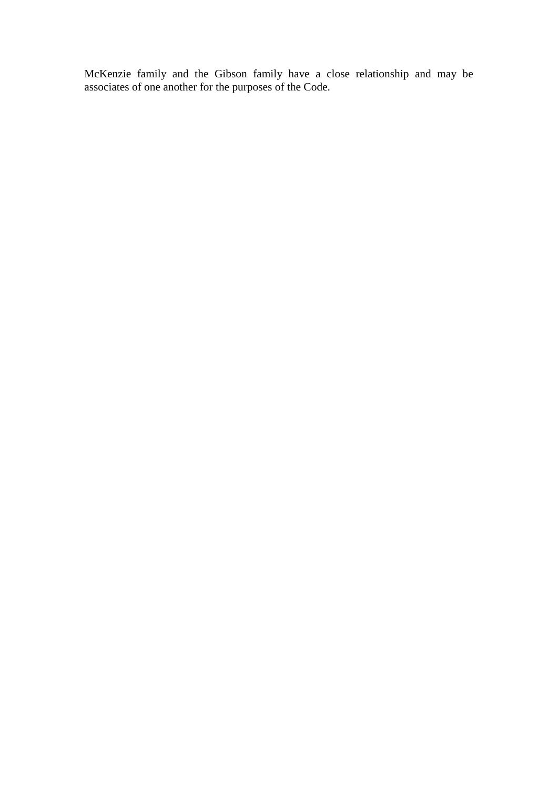McKenzie family and the Gibson family have a close relationship and may be associates of one another for the purposes of the Code.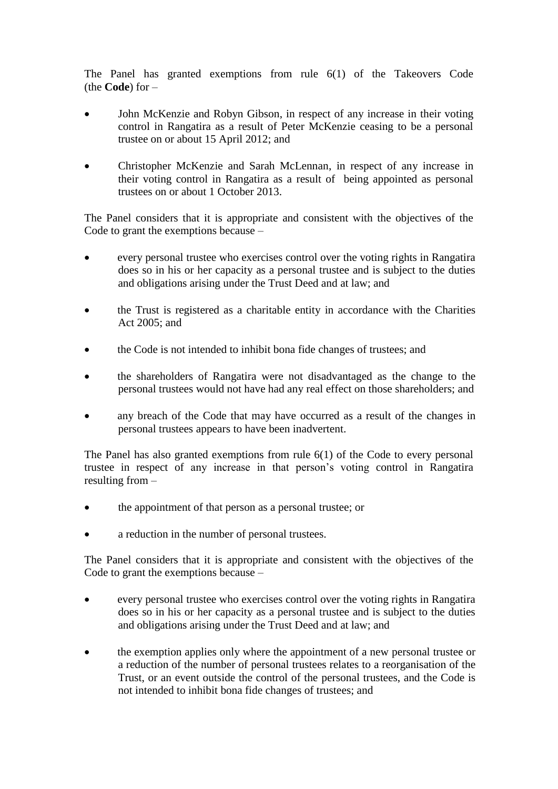The Panel has granted exemptions from rule 6(1) of the Takeovers Code (the **Code**) for –

- John McKenzie and Robyn Gibson, in respect of any increase in their voting control in Rangatira as a result of Peter McKenzie ceasing to be a personal trustee on or about 15 April 2012; and
- Christopher McKenzie and Sarah McLennan, in respect of any increase in their voting control in Rangatira as a result of being appointed as personal trustees on or about 1 October 2013.

The Panel considers that it is appropriate and consistent with the objectives of the Code to grant the exemptions because –

- every personal trustee who exercises control over the voting rights in Rangatira does so in his or her capacity as a personal trustee and is subject to the duties and obligations arising under the Trust Deed and at law; and
- the Trust is registered as a charitable entity in accordance with the Charities Act 2005; and
- the Code is not intended to inhibit bona fide changes of trustees; and
- the shareholders of Rangatira were not disadvantaged as the change to the personal trustees would not have had any real effect on those shareholders; and
- any breach of the Code that may have occurred as a result of the changes in personal trustees appears to have been inadvertent.

The Panel has also granted exemptions from rule  $6(1)$  of the Code to every personal trustee in respect of any increase in that person's voting control in Rangatira resulting from –

- the appointment of that person as a personal trustee; or
- a reduction in the number of personal trustees.

The Panel considers that it is appropriate and consistent with the objectives of the Code to grant the exemptions because –

- every personal trustee who exercises control over the voting rights in Rangatira does so in his or her capacity as a personal trustee and is subject to the duties and obligations arising under the Trust Deed and at law; and
- the exemption applies only where the appointment of a new personal trustee or a reduction of the number of personal trustees relates to a reorganisation of the Trust, or an event outside the control of the personal trustees, and the Code is not intended to inhibit bona fide changes of trustees; and